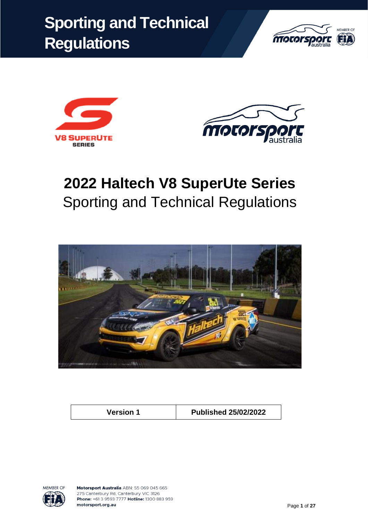





# **2022 Haltech V8 SuperUte Series** Sporting and Technical Regulations



**Version 1 Published 25/02/2022**

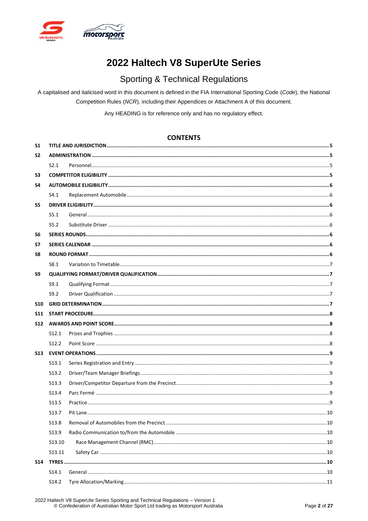

# 2022 Haltech V8 SuperUte Series

## **Sporting & Technical Regulations**

A capitalised and italicised word in this document is defined in the FIA International Sporting Code (Code), the National Competition Rules (NCR), including their Appendices or Attachment A of this document.

Any HEADING is for reference only and has no regulatory effect.

### **CONTENTS**

| <b>S1</b>      |                   |  |  |
|----------------|-------------------|--|--|
| S <sub>2</sub> |                   |  |  |
|                | S2.1              |  |  |
| S3             |                   |  |  |
| S4             |                   |  |  |
|                | S4.1              |  |  |
| S5             |                   |  |  |
|                | S5.1              |  |  |
|                | S5.2              |  |  |
| S <sub>6</sub> |                   |  |  |
| S7             |                   |  |  |
| S8             |                   |  |  |
|                | S8.1              |  |  |
| S9             |                   |  |  |
|                | S9.1              |  |  |
|                | S9.2              |  |  |
| <b>S10</b>     |                   |  |  |
| <b>S11</b>     |                   |  |  |
| <b>S12</b>     |                   |  |  |
|                | S <sub>12.1</sub> |  |  |
|                | S <sub>12.2</sub> |  |  |
| S13            |                   |  |  |
|                | S <sub>13.1</sub> |  |  |
|                | S13.2             |  |  |
|                | S <sub>13.3</sub> |  |  |
|                | S13.4             |  |  |
|                | S <sub>13.5</sub> |  |  |
|                | S <sub>13.7</sub> |  |  |
|                | S <sub>13.8</sub> |  |  |
|                | S13.9             |  |  |
|                | S13.10            |  |  |
|                | S13.11            |  |  |
| <b>S14</b>     |                   |  |  |
|                | S14.1             |  |  |
|                | S14.2             |  |  |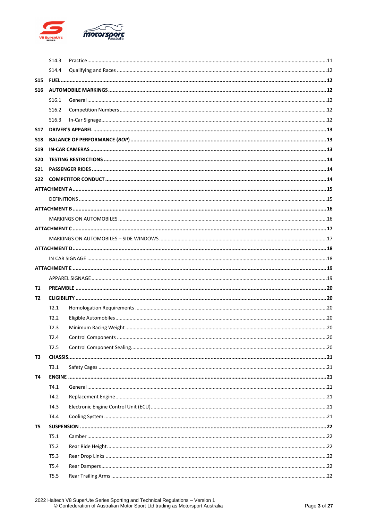

|            | S <sub>14.3</sub> |  |  |  |
|------------|-------------------|--|--|--|
|            | S <sub>14.4</sub> |  |  |  |
| <b>S15</b> |                   |  |  |  |
| S16        |                   |  |  |  |
|            | S <sub>16.1</sub> |  |  |  |
|            | S <sub>16.2</sub> |  |  |  |
|            | S <sub>16.3</sub> |  |  |  |
| <b>S17</b> |                   |  |  |  |
| <b>S18</b> |                   |  |  |  |
| <b>S19</b> |                   |  |  |  |
| <b>S20</b> |                   |  |  |  |
| <b>S21</b> |                   |  |  |  |
| S22        |                   |  |  |  |
|            |                   |  |  |  |
|            |                   |  |  |  |
|            |                   |  |  |  |
|            |                   |  |  |  |
|            |                   |  |  |  |
|            |                   |  |  |  |
|            |                   |  |  |  |
|            |                   |  |  |  |
|            |                   |  |  |  |
|            |                   |  |  |  |
|            |                   |  |  |  |
| Τ1         |                   |  |  |  |
| T2         |                   |  |  |  |
|            | T2.1              |  |  |  |
|            | T2.2              |  |  |  |
|            | T2.3              |  |  |  |
|            | T2.4              |  |  |  |
|            | T <sub>2.5</sub>  |  |  |  |
| тз         |                   |  |  |  |
|            | T3.1              |  |  |  |
| Т4         |                   |  |  |  |
|            | T4.1              |  |  |  |
|            | T4.2              |  |  |  |
|            | T4.3              |  |  |  |
|            | T4.4              |  |  |  |
| T5         |                   |  |  |  |
|            | T5.1              |  |  |  |
|            | T5.2              |  |  |  |
|            | T5.3              |  |  |  |
|            | T5.4              |  |  |  |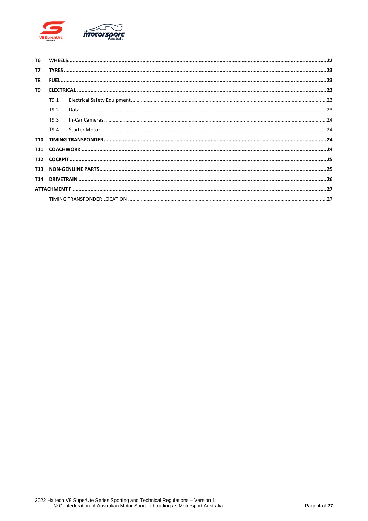

| T6              |      |  |  |  |
|-----------------|------|--|--|--|
| T7              |      |  |  |  |
| T8              |      |  |  |  |
| T9              |      |  |  |  |
|                 | T9.1 |  |  |  |
|                 | T9.2 |  |  |  |
|                 | T9.3 |  |  |  |
|                 | T9.4 |  |  |  |
| <b>T10</b>      |      |  |  |  |
|                 |      |  |  |  |
| T <sub>12</sub> |      |  |  |  |
| <b>T13</b>      |      |  |  |  |
| T14             |      |  |  |  |
|                 |      |  |  |  |
|                 |      |  |  |  |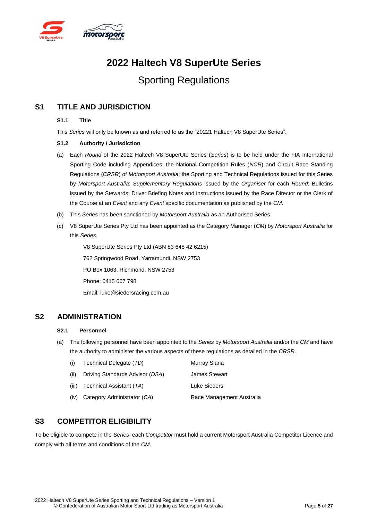

# **2022 Haltech V8 SuperUte Series**

# Sporting Regulations

### <span id="page-4-0"></span>**S1 TITLE AND JURISDICTION**

#### **S1.1 Title**

This *Series* will only be known as and referred to as the "20221 Haltech V8 SuperUte Series".

### **S1.2 Authority / Jurisdiction**

- (a) Each *Round* of the 2022 Haltech V8 SuperUte Series (*Series*) is to be held under the FIA International Sporting Code including Appendices; the National Competition Rules (*NCR*) and Circuit Race Standing Regulations (*CRSR*) of *Motorsport Australia*; the Sporting and Technical Regulations issued for this Series by *Motorsport Australia*; *Supplementary Regulations* issued by the *Organiser* for each *Round*; Bulletins issued by the Stewards; Driver Briefing Notes and instructions issued by the Race Director or the Clerk of the Course at an *Event* and any *Event* specific documentation as published by the *CM*.
- (b) This *Series* has been sanctioned by *Motorsport Australia* as an Authorised Series.
- (c) V8 SuperUte Series Pty Ltd has been appointed as the Category Manager (*CM*) by *Motorsport Australia* for this *Series*.

V8 SuperUte Series Pty Ltd (ABN 83 648 42 6215) 762 Springwood Road, Yarramundi, NSW 2753 PO Box 1063, Richmond, NSW 2753 Phone: 0415 667 798 Email: luke@siedersracing.com.au

### <span id="page-4-2"></span><span id="page-4-1"></span>**S2 ADMINISTRATION**

### **S2.1 Personnel**

(a) The following personnel have been appointed to the *Series* by *Motorsport Australia* and/or the *CM* and have the authority to administer the various aspects of these regulations as detailed in the *CRSR*.

| (i)  | Technical Delegate (TD)          | Murray Slana              |
|------|----------------------------------|---------------------------|
| (ii) | Driving Standards Advisor (DSA)  | <b>James Stewart</b>      |
|      | (iii) Technical Assistant $(TA)$ | Luke Sieders              |
|      | (iv) Category Administrator (CA) | Race Management Australia |

### <span id="page-4-3"></span>**S3 COMPETITOR ELIGIBILITY**

To be eligible to compete in the *Series*, each *Competitor* must hold a current Motorsport Australia Competitor Licence and comply with all terms and conditions of the *CM*.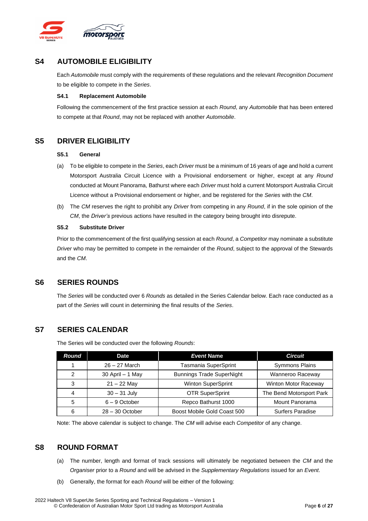

### <span id="page-5-0"></span>**S4 AUTOMOBILE ELIGIBILITY**

Each *Automobile* must comply with the requirements of these regulations and the relevant *Recognition Document* to be eligible to compete in the *Series*.

#### <span id="page-5-1"></span>**S4.1 Replacement Automobile**

Following the commencement of the first practice session at each *Round*, any *Automobile* that has been entered to compete at that *Round*, may not be replaced with another *Automobile*.

### <span id="page-5-3"></span><span id="page-5-2"></span>**S5 DRIVER ELIGIBILITY**

#### **S5.1 General**

- (a) To be eligible to compete in the *Series*, each *Driver* must be a minimum of 16 years of age and hold a current Motorsport Australia Circuit Licence with a Provisional endorsement or higher, except at any *Round* conducted at Mount Panorama, Bathurst where each *Driver* must hold a current Motorsport Australia Circuit Licence without a Provisional endorsement or higher, and be registered for the *Series* with the *CM*.
- (b) The *CM* reserves the right to prohibit any *Driver* from competing in any *Round*, if in the sole opinion of the *CM*, the *Driver's* previous actions have resulted in the category being brought into disrepute.

#### <span id="page-5-4"></span>**S5.2 Substitute Driver**

Prior to the commencement of the first qualifying session at each *Round*, a *Competitor* may nominate a substitute *Driver* who may be permitted to compete in the remainder of the *Round*, subject to the approval of the Stewards and the *CM*.

### <span id="page-5-5"></span>**S6 SERIES ROUNDS**

The *Series* will be conducted over 6 *Rounds* as detailed in the Series Calendar below. Each race conducted as a part of the *Series* will count in determining the final results of the *Series*.

### <span id="page-5-6"></span>**S7 SERIES CALENDAR**

The Series will be conducted over the following *Rounds*:

| Round         | <b>Date</b>       | <b>Event Name</b>                | <b>Circuit</b>           |
|---------------|-------------------|----------------------------------|--------------------------|
|               | $26 - 27$ March   | Tasmania SuperSprint             | <b>Symmons Plains</b>    |
| $\mathcal{P}$ | 30 April - 1 May  | <b>Bunnings Trade SuperNight</b> | Wanneroo Raceway         |
| 3             | $21 - 22$ May     | Winton SuperSprint               | Winton Motor Raceway     |
| 4             | $30 - 31$ July    | <b>OTR SuperSprint</b>           | The Bend Motorsport Park |
| 5             | $6 - 9$ October   | Repco Bathurst 1000              | Mount Panorama           |
| 6             | $28 - 30$ October | Boost Mobile Gold Coast 500      | Surfers Paradise         |

Note: The above calendar is subject to change. The *CM* will advise each *Competitor* of any change.

### <span id="page-5-7"></span>**S8 ROUND FORMAT**

- (a) The number, length and format of track sessions will ultimately be negotiated between the *CM* and the *Organiser* prior to a *Round* and will be advised in the *Supplementary Regulations* issued for an *Event*.
- (b) Generally, the format for each *Round* will be either of the following: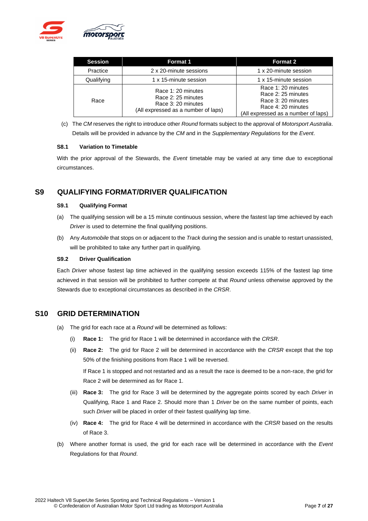

| <b>Session</b> | <b>Format 1</b>                                                                                       | <b>Format 2</b>                                                                                                             |
|----------------|-------------------------------------------------------------------------------------------------------|-----------------------------------------------------------------------------------------------------------------------------|
| Practice       | 2 x 20-minute sessions                                                                                | 1 x 20-minute session                                                                                                       |
| Qualifying     | 1 x 15-minute session                                                                                 | 1 x 15-minute session                                                                                                       |
| Race           | Race 1: 20 minutes<br>Race 2: 25 minutes<br>Race 3: 20 minutes<br>(All expressed as a number of laps) | Race 1: 20 minutes<br>Race 2: 25 minutes<br>Race 3: 20 minutes<br>Race 4: 20 minutes<br>(All expressed as a number of laps) |

(c) The *CM* reserves the right to introduce other *Round* formats subject to the approval of *Motorsport Australia*. Details will be provided in advance by the *CM* and in the *Supplementary Regulations* for the *Event*.

#### <span id="page-6-0"></span>**S8.1 Variation to Timetable**

With the prior approval of the Stewards, the *Event* timetable may be varied at any time due to exceptional circumstances.

### <span id="page-6-2"></span><span id="page-6-1"></span>**S9 QUALIFYING FORMAT/DRIVER QUALIFICATION**

#### **S9.1 Qualifying Format**

- (a) The qualifying session will be a 15 minute continuous session, where the fastest lap time achieved by each *Driver* is used to determine the final qualifying positions.
- (b) Any *Automobile* that stops on or adjacent to the *Track* during the session and is unable to restart unassisted, will be prohibited to take any further part in qualifying.

#### <span id="page-6-3"></span>**S9.2 Driver Qualification**

Each *Driver* whose fastest lap time achieved in the qualifying session exceeds 115% of the fastest lap time achieved in that session will be prohibited to further compete at that *Round* unless otherwise approved by the Stewards due to exceptional circumstances as described in the *CRSR*.

### <span id="page-6-4"></span>**S10 GRID DETERMINATION**

- (a) The grid for each race at a *Round* will be determined as follows:
	- (i) **Race 1:** The grid for Race 1 will be determined in accordance with the *CRSR*.
	- (ii) **Race 2:** The grid for Race 2 will be determined in accordance with the *CRSR* except that the top 50% of the finishing positions from Race 1 will be reversed.

If Race 1 is stopped and not restarted and as a result the race is deemed to be a non-race, the grid for Race 2 will be determined as for Race 1.

- (iii) **Race 3:** The grid for Race 3 will be determined by the aggregate points scored by each *Driver* in Qualifying, Race 1 and Race 2. Should more than 1 *Driver* be on the same number of points, each such *Driver* will be placed in order of their fastest qualifying lap time.
- (iv) **Race 4:** The grid for Race 4 will be determined in accordance with the *CRSR* based on the results of Race 3.
- (b) Where another format is used, the grid for each race will be determined in accordance with the *Event* Regulations for that *Round*.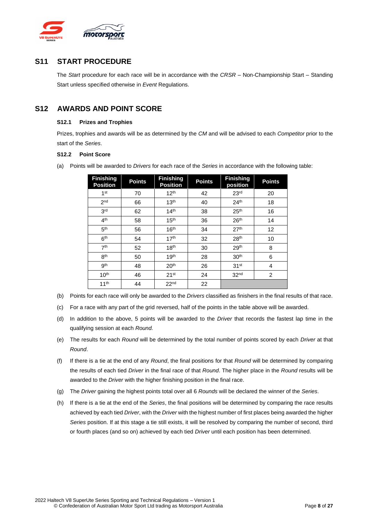

### <span id="page-7-0"></span>**S11 START PROCEDURE**

The *Start* procedure for each race will be in accordance with the *CRSR* – Non-Championship Start – Standing Start unless specified otherwise in *Event* Regulations.

### <span id="page-7-2"></span><span id="page-7-1"></span>**S12 AWARDS AND POINT SCORE**

### **S12.1 Prizes and Trophies**

Prizes, trophies and awards will be as determined by the *CM* and will be advised to each *Competitor* prior to the start of the *Series*.

### <span id="page-7-3"></span>**S12.2 Point Score**

(a) Points will be awarded to *Drivers* for each race of the *Series* in accordance with the following table:

| <b>Finishing</b><br><b>Position</b> | <b>Points</b> | <b>Finishing</b><br><b>Position</b> | <b>Points</b> | <b>Finishing</b><br>position | <b>Points</b>  |
|-------------------------------------|---------------|-------------------------------------|---------------|------------------------------|----------------|
| 1 <sup>st</sup>                     | 70            | 12 <sup>th</sup>                    | 42            | 23 <sup>rd</sup>             | 20             |
| 2 <sub>nd</sub>                     | 66            | 13 <sup>th</sup>                    | 40            | 24 <sup>th</sup>             | 18             |
| 3 <sup>rd</sup>                     | 62            | 14 <sup>th</sup>                    | 38            | 25 <sup>th</sup>             | 16             |
| 4 <sup>th</sup>                     | 58            | 15 <sup>th</sup>                    | 36            | 26 <sup>th</sup>             | 14             |
| 5 <sup>th</sup>                     | 56            | 16 <sup>th</sup>                    | 34            | 27 <sup>th</sup>             | 12             |
| 6 <sup>th</sup>                     | 54            | 17 <sup>th</sup>                    | 32            | 28 <sup>th</sup>             | 10             |
| 7 <sup>th</sup>                     | 52            | 18 <sup>th</sup>                    | 30            | 29 <sup>th</sup>             | 8              |
| 8 <sup>th</sup>                     | 50            | 19 <sup>th</sup>                    | 28            | 30 <sup>th</sup>             | 6              |
| 9 <sup>th</sup>                     | 48            | 20 <sup>th</sup>                    | 26            | 31 <sup>st</sup>             | 4              |
| 10 <sup>th</sup>                    | 46            | 21 <sup>st</sup>                    | 24            | 32 <sup>nd</sup>             | $\overline{2}$ |
| 11 <sup>th</sup>                    | 44            | 22 <sup>nd</sup>                    | 22            |                              |                |

- (b) Points for each race will only be awarded to the *Drivers* classified as finishers in the final results of that race.
- (c) For a race with any part of the grid reversed, half of the points in the table above will be awarded.
- (d) In addition to the above, 5 points will be awarded to the *Driver* that records the fastest lap time in the qualifying session at each *Round.*
- (e) The results for each *Round* will be determined by the total number of points scored by each *Driver* at that *Round*.
- (f) If there is a tie at the end of any *Round*, the final positions for that *Round* will be determined by comparing the results of each tied *Driver* in the final race of that *Round*. The higher place in the *Round* results will be awarded to the *Driver* with the higher finishing position in the final race.
- (g) The *Driver* gaining the highest points total over all 6 *Rounds* will be declared the winner of the *Series*.
- (h) If there is a tie at the end of the *Series*, the final positions will be determined by comparing the race results achieved by each tied *Driver*, with the *Driver* with the highest number of first places being awarded the higher *Series* position. If at this stage a tie still exists, it will be resolved by comparing the number of second, third or fourth places (and so on) achieved by each tied *Driver* until each position has been determined.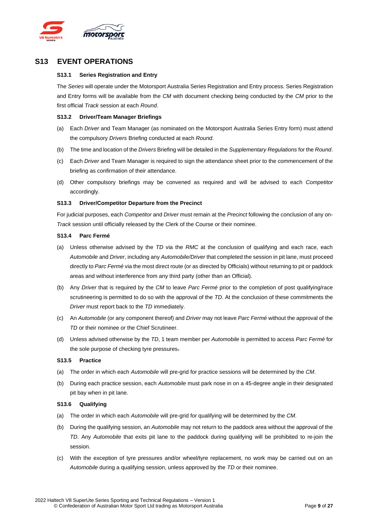

### <span id="page-8-1"></span><span id="page-8-0"></span>**S13 EVENT OPERATIONS**

### **S13.1 Series Registration and Entry**

The *Series* will operate under the Motorsport Australia Series Registration and Entry process. Series Registration and Entry forms will be available from the *CM* with document checking being conducted by the *CM* prior to the first official *Track* session at each *Round*.

#### <span id="page-8-2"></span>**S13.2 Driver/Team Manager Briefings**

- (a) Each *Driver* and Team Manager (as nominated on the Motorsport Australia Series Entry form) must attend the compulsory *Drivers* Briefing conducted at each *Round*.
- (b) The time and location of the *Drivers* Briefing will be detailed in the *Supplementary Regulations* for the *Round*.
- (c) Each *Driver* and Team Manager is required to sign the attendance sheet prior to the commencement of the briefing as confirmation of their attendance.
- (d) Other compulsory briefings may be convened as required and will be advised to each *Competitor* accordingly.

#### <span id="page-8-3"></span>**S13.3 Driver/Competitor Departure from the Precinct**

For judicial purposes, each *Competitor* and *Driver* must remain at the *Precinct* following the conclusion of any on-*Track* session until officially released by the Clerk of the Course or their nominee.

#### <span id="page-8-4"></span>**S13.4 Parc Fermé**

- (a) Unless otherwise advised by the *TD* via the *RMC* at the conclusion of qualifying and each race, each *Automobile* and *Driver*, including any *Automobile/Driver* that completed the session in pit lane, must proceed directly to *Parc Fermé* via the most direct route (or as directed by Officials) without returning to pit or paddock areas and without interference from any third party (other than an Official).
- (b) Any *Driver* that is required by the *CM* to leave *Parc Fermé* prior to the completion of post qualifying/race scrutineering is permitted to do so with the approval of the *TD*. At the conclusion of these commitments the *Driver* must report back to the *TD* immediately.
- (c) An *Automobile* (or any component thereof) and *Driver* may not leave *Parc Fermé* without the approval of the *TD* or their nominee or the Chief Scrutineer.
- (d) Unless advised otherwise by the *TD*, 1 team member per *Automobile* is permitted to access *Parc Fermé* for the sole purpose of checking tyre pressures.

#### <span id="page-8-5"></span>**S13.5 Practice**

- (a) The order in which each *Automobile* will pre-grid for practice sessions will be determined by the *CM*.
- (b) During each practice session, each *Automobile* must park nose in on a 45-degree angle in their designated pit bay when in pit lane.

#### **S13.6 Qualifying**

- (a) The order in which each *Automobile* will pre-grid for qualifying will be determined by the *CM*.
- (b) During the qualifying session, an *Automobile* may not return to the paddock area without the approval of the *TD*. Any *Automobile* that exits pit lane to the paddock during qualifying will be prohibited to re-join the session.
- (c) With the exception of tyre pressures and/or wheel/tyre replacement, no work may be carried out on an *Automobile* during a qualifying session, unless approved by the *TD* or their nominee.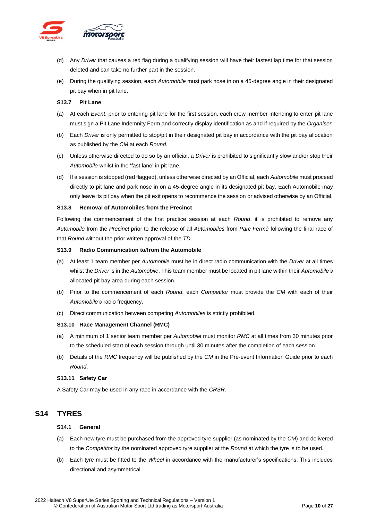

- (d) Any *Driver* that causes a red flag during a qualifying session will have their fastest lap time for that session deleted and can take no further part in the session.
- (e) During the qualifying session, each *Automobile* must park nose in on a 45-degree angle in their designated pit bay when in pit lane.

#### <span id="page-9-0"></span>**S13.7 Pit Lane**

- (a) At each *Event*, prior to entering pit lane for the first session, each crew member intending to enter pit lane must sign a Pit Lane Indemnity Form and correctly display identification as and if required by the *Organiser*.
- (b) Each *Driver* is only permitted to stop/pit in their designated pit bay in accordance with the pit bay allocation as published by the *CM* at each *Round.*
- (c) Unless otherwise directed to do so by an official, a *Driver* is prohibited to significantly slow and/or stop their *Automobile* whilst in the 'fast lane' in pit lane.
- (d) If a session is stopped (red flagged), unless otherwise directed by an Official, each *Automobile* must proceed directly to pit lane and park nose in on a 45-degree angle in its designated pit bay. Each Automobile may only leave its pit bay when the pit exit opens to recommence the session or advised otherwise by an Official.

#### <span id="page-9-1"></span>**S13.8 Removal of Automobiles from the Precinct**

Following the commencement of the first practice session at each *Round*, it is prohibited to remove any *Automobile* from the *Precinct* prior to the release of all *Automobiles* from *Parc Fermé* following the final race of that *Round* without the prior written approval of the *TD*.

#### <span id="page-9-2"></span>**S13.9 Radio Communication to/from the Automobile**

- (a) At least 1 team member per *Automobile* must be in direct radio communication with the *Driver* at all times whilst the *Driver* is in the *Automobile*. This team member must be located in pit lane within their *Automobile's* allocated pit bay area during each session.
- (b) Prior to the commencement of each *Round*, each *Competitor* must provide the *CM* with each of their *Automobile's* radio frequency.
- (c) Direct communication between competing *Automobiles* is strictly prohibited.

### <span id="page-9-3"></span>**S13.10 Race Management Channel (RMC)**

- (a) A minimum of 1 senior team member per *Automobile* must monitor *RMC* at all times from 30 minutes prior to the scheduled start of each session through until 30 minutes after the completion of each session.
- (b) Details of the *RMC* frequency will be published by the *CM* in the Pre-event Information Guide prior to each *Round*.

#### <span id="page-9-4"></span>**S13.11 Safety Car**

A Safety Car may be used in any race in accordance with the *CRSR*.

### <span id="page-9-6"></span><span id="page-9-5"></span>**S14 TYRES**

### **S14.1 General**

- (a) Each new tyre must be purchased from the approved tyre supplier (as nominated by the *CM*) and delivered to the *Competitor* by the nominated approved tyre supplier at the *Round* at which the tyre is to be used.
- (b) Each tyre must be fitted to the *Wheel* in accordance with the manufacturer's specifications. This includes directional and asymmetrical.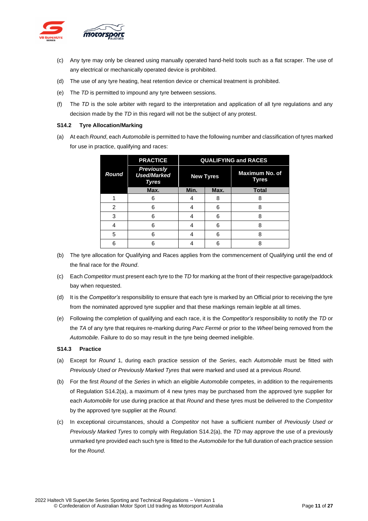

- (c) Any tyre may only be cleaned using manually operated hand-held tools such as a flat scraper. The use of any electrical or mechanically operated device is prohibited.
- (d) The use of any tyre heating, heat retention device or chemical treatment is prohibited.
- (e) The *TD* is permitted to impound any tyre between sessions.
- (f) The *TD* is the sole arbiter with regard to the interpretation and application of all tyre regulations and any decision made by the *TD* in this regard will not be the subject of any protest.

### <span id="page-10-0"></span>**S14.2 Tyre Allocation/Marking**

(a) At each *Round*, each *Automobile* is permitted to have the following number and classification of tyres marked for use in practice, qualifying and races:

|                | <b>PRACTICE</b>                                         | <b>QUALIFYING and RACES</b> |      |                         |  |
|----------------|---------------------------------------------------------|-----------------------------|------|-------------------------|--|
| <b>Round</b>   | <b>Previously</b><br><b>Used/Marked</b><br><b>Tyres</b> | <b>New Tyres</b>            |      | Maximum No. of<br>Tyres |  |
|                | Max.                                                    | Min.                        | Max. | <b>Total</b>            |  |
|                | 6                                                       | 4                           | 8    | 8                       |  |
| $\mathfrak{p}$ | հ                                                       |                             | 6    | ጸ                       |  |
| 3              | 6                                                       | 4                           | 6    | 8                       |  |
| 4              | հ                                                       | 4                           | 6    | ጸ                       |  |
| 5              | հ                                                       |                             | 6    | ጸ                       |  |
| հ              |                                                         |                             | 6    |                         |  |

- (b) The tyre allocation for Qualifying and Races applies from the commencement of Qualifying until the end of the final race for the *Round*.
- (c) Each *Competitor* must present each tyre to the *TD* for marking at the front of their respective garage/paddock bay when requested.
- (d) It is the *Competitor's* responsibility to ensure that each tyre is marked by an Official prior to receiving the tyre from the nominated approved tyre supplier and that these markings remain legible at all times.
- (e) Following the completion of qualifying and each race, it is the *Competitor's* responsibility to notify the *TD* or the *TA* of any tyre that requires re-marking during *Parc Fermé* or prior to the *Wheel* being removed from the *Automobile*. Failure to do so may result in the tyre being deemed ineligible.

#### <span id="page-10-1"></span>**S14.3 Practice**

- (a) Except for *Round* 1, during each practice session of the *Series*, each *Automobile* must be fitted with *Previously Used or Previously Marked Tyres* that were marked and used at a previous *Round*.
- (b) For the first *Round* of the *Series* in which an eligible *Automobile* competes, in addition to the requirements of Regulation S14.2(a), a maximum of 4 new tyres may be purchased from the approved tyre supplier for each *Automobile* for use during practice at that *Round* and these tyres must be delivered to the *Competitor*  by the approved tyre supplier at the *Round*.
- (c) In exceptional circumstances, should a *Competitor* not have a sufficient number of *Previously Used or Previously Marked Tyres* to comply with Regulation S14.2(a), the *TD* may approve the use of a previously unmarked tyre provided each such tyre is fitted to the *Automobile* for the full duration of each practice session for the *Round*.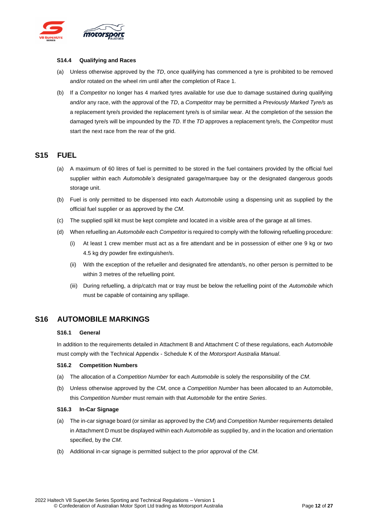

#### <span id="page-11-0"></span>**S14.4 Qualifying and Races**

- (a) Unless otherwise approved by the *TD*, once qualifying has commenced a tyre is prohibited to be removed and/or rotated on the wheel rim until after the completion of Race 1.
- (b) If a *Competitor* no longer has 4 marked tyres available for use due to damage sustained during qualifying and/or any race, with the approval of the *TD*, a *Competitor* may be permitted a *Previously Marked Tyre/s* as a replacement tyre/s provided the replacement tyre/s is of similar wear. At the completion of the session the damaged tyre/s will be impounded by the *TD*. If the *TD* approves a replacement tyre/s, the *Competitor* must start the next race from the rear of the grid.

### <span id="page-11-1"></span>**S15 FUEL**

- (a) A maximum of 60 litres of fuel is permitted to be stored in the fuel containers provided by the official fuel supplier within each *Automobile's* designated garage/marquee bay or the designated dangerous goods storage unit.
- (b) Fuel is only permitted to be dispensed into each *Automobile* using a dispensing unit as supplied by the official fuel supplier or as approved by the *CM*.
- (c) The supplied spill kit must be kept complete and located in a visible area of the garage at all times.
- (d) When refuelling an *Automobile* each *Competitor* is required to comply with the following refuelling procedure:
	- (i) At least 1 crew member must act as a fire attendant and be in possession of either one 9 kg or two 4.5 kg dry powder fire extinguisher/s.
	- (ii) With the exception of the refueller and designated fire attendant/s, no other person is permitted to be within 3 metres of the refuelling point.
	- (iii) During refuelling, a drip/catch mat or tray must be below the refuelling point of the *Automobile* which must be capable of containing any spillage.

### <span id="page-11-3"></span><span id="page-11-2"></span>**S16 AUTOMOBILE MARKINGS**

#### **S16.1 General**

In addition to the requirements detailed in Attachment B and Attachment C of these regulations, each *Automobile* must comply with the Technical Appendix - Schedule K of the *Motorsport Australia Manual*.

#### <span id="page-11-4"></span>**S16.2 Competition Numbers**

- (a) The allocation of a *Competition Number* for each *Automobile* is solely the responsibility of the *CM*.
- (b) Unless otherwise approved by the *CM*, once a *Competition Number* has been allocated to an Automobile, this *Competition Number* must remain with that *Automobile* for the entire *Series*.

#### <span id="page-11-5"></span>**S16.3 In-Car Signage**

- (a) The in-car signage board (or similar as approved by the *CM*) and *Competition Number* requirements detailed in Attachment D must be displayed within each *Automobile* as supplied by, and in the location and orientation specified, by the *CM*.
- (b) Additional in-car signage is permitted subject to the prior approval of the *CM*.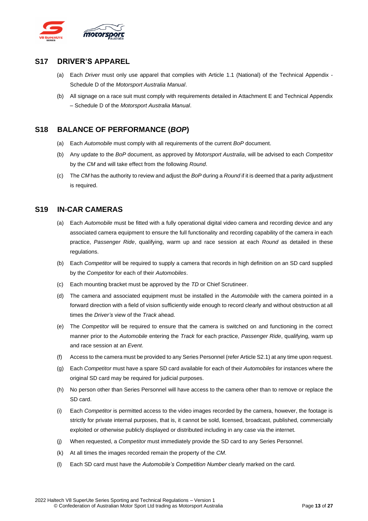

### <span id="page-12-0"></span>**S17 DRIVER'S APPAREL**

- (a) Each *Driver* must only use apparel that complies with Article 1.1 (National) of the Technical Appendix Schedule D of the *Motorsport Australia Manual*.
- (b) All signage on a race suit must comply with requirements detailed in Attachment E and Technical Appendix – Schedule D of the *Motorsport Australia Manual*.

### <span id="page-12-1"></span>**S18 BALANCE OF PERFORMANCE (***BOP***)**

- (a) Each *Automobile* must comply with all requirements of the current *BoP* document.
- (b) Any update to the *BoP* document, as approved by *Motorsport Australia*, will be advised to each *Competitor* by the *CM* and will take effect from the following *Round*.
- (c) The *CM* has the authority to review and adjust the *BoP* during a *Round* if it is deemed that a parity adjustment is required.

### <span id="page-12-2"></span>**S19 IN-CAR CAMERAS**

- (a) Each *Automobile* must be fitted with a fully operational digital video camera and recording device and any associated camera equipment to ensure the full functionality and recording capability of the camera in each practice, *Passenger Ride*, qualifying, warm up and race session at each *Round* as detailed in these regulations.
- (b) Each *Competitor* will be required to supply a camera that records in high definition on an SD card supplied by the *Competitor* for each of their *Automobiles*.
- (c) Each mounting bracket must be approved by the *TD* or Chief Scrutineer.
- (d) The camera and associated equipment must be installed in the *Automobile* with the camera pointed in a forward direction with a field of vision sufficiently wide enough to record clearly and without obstruction at all times the *Driver's* view of the *Track* ahead.
- (e) The *Competitor* will be required to ensure that the camera is switched on and functioning in the correct manner prior to the *Automobile* entering the *Track* for each practice, *Passenger Ride*, qualifying, warm up and race session at an *Event*.
- (f) Access to the camera must be provided to any Series Personnel (refer Article S2.1) at any time upon request.
- (g) Each *Competitor* must have a spare SD card available for each of their *Automobiles* for instances where the original SD card may be required for judicial purposes.
- (h) No person other than Series Personnel will have access to the camera other than to remove or replace the SD card.
- (i) Each *Competitor* is permitted access to the video images recorded by the camera, however, the footage is strictly for private internal purposes, that is, it cannot be sold, licensed, broadcast, published, commercially exploited or otherwise publicly displayed or distributed including in any case via the internet.
- (j) When requested, a *Competitor* must immediately provide the SD card to any Series Personnel.
- (k) At all times the images recorded remain the property of the *CM*.
- (l) Each SD card must have the *Automobile's Competition Number* clearly marked on the card.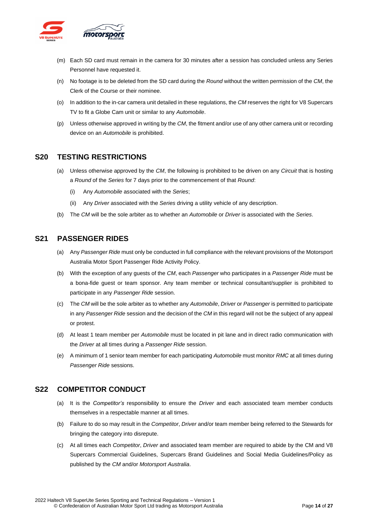

- (m) Each SD card must remain in the camera for 30 minutes after a session has concluded unless any Series Personnel have requested it.
- (n) No footage is to be deleted from the SD card during the *Round* without the written permission of the *CM*, the Clerk of the Course or their nominee.
- (o) In addition to the in-car camera unit detailed in these regulations, the *CM* reserves the right for V8 Supercars TV to fit a Globe Cam unit or similar to any *Automobile*.
- (p) Unless otherwise approved in writing by the *CM*, the fitment and/or use of any other camera unit or recording device on an *Automobile* is prohibited.

### <span id="page-13-0"></span>**S20 TESTING RESTRICTIONS**

- (a) Unless otherwise approved by the *CM*, the following is prohibited to be driven on any *Circuit* that is hosting a *Round* of the *Series* for 7 days prior to the commencement of that *Round*:
	- (i) Any *Automobile* associated with the *Series*;
	- (ii) Any *Driver* associated with the *Series* driving a utility vehicle of any description.
- (b) The *CM* will be the sole arbiter as to whether an *Automobile* or *Driver* is associated with the *Series*.

### <span id="page-13-1"></span>**S21 PASSENGER RIDES**

- (a) Any *Passenger Ride* must only be conducted in full compliance with the relevant provisions of the Motorsport Australia Motor Sport Passenger Ride Activity Policy.
- (b) With the exception of any guests of the *CM*, each *Passenger* who participates in a *Passenger Ride* must be a bona-fide guest or team sponsor. Any team member or technical consultant/supplier is prohibited to participate in any *Passenger Ride* session.
- (c) The *CM* will be the sole arbiter as to whether any *Automobile*, *Driver* or *Passenger* is permitted to participate in any *Passenger Ride* session and the decision of the *CM* in this regard will not be the subject of any appeal or protest.
- (d) At least 1 team member per *Automobile* must be located in pit lane and in direct radio communication with the *Driver* at all times during a *Passenger Ride* session.
- (e) A minimum of 1 senior team member for each participating *Automobile* must monitor *RMC* at all times during *Passenger Ride* sessions.

### <span id="page-13-2"></span>**S22 COMPETITOR CONDUCT**

- (a) It is the *Competitor's* responsibility to ensure the *Driver* and each associated team member conducts themselves in a respectable manner at all times.
- (b) Failure to do so may result in the *Competitor*, *Driver* and/or team member being referred to the Stewards for bringing the category into disrepute.
- (c) At all times each *Competitor*, *Driver* and associated team member are required to abide by the CM and V8 Supercars Commercial Guidelines, Supercars Brand Guidelines and Social Media Guidelines/Policy as published by the *CM* and/or *Motorsport Australia*.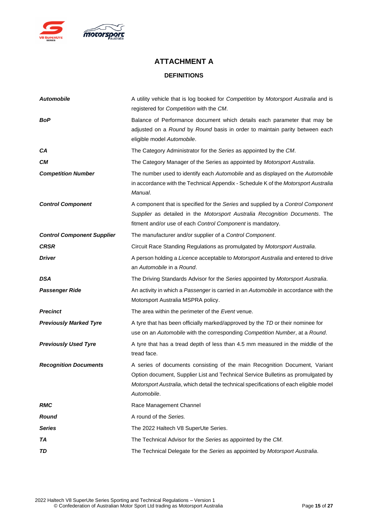

# **ATTACHMENT A DEFINITIONS**

<span id="page-14-1"></span><span id="page-14-0"></span>

| <b>Automobile</b>                 | A utility vehicle that is log booked for Competition by Motorsport Australia and is<br>registered for Competition with the CM.                                                                                                                                          |
|-----------------------------------|-------------------------------------------------------------------------------------------------------------------------------------------------------------------------------------------------------------------------------------------------------------------------|
| BoP                               | Balance of Performance document which details each parameter that may be<br>adjusted on a Round by Round basis in order to maintain parity between each<br>eligible model Automobile.                                                                                   |
| CA                                | The Category Administrator for the Series as appointed by the CM.                                                                                                                                                                                                       |
| CМ                                | The Category Manager of the Series as appointed by Motorsport Australia.                                                                                                                                                                                                |
| <b>Competition Number</b>         | The number used to identify each Automobile and as displayed on the Automobile<br>in accordance with the Technical Appendix - Schedule K of the Motorsport Australia<br>Manual.                                                                                         |
| <b>Control Component</b>          | A component that is specified for the Series and supplied by a Control Component<br>Supplier as detailed in the Motorsport Australia Recognition Documents. The<br>fitment and/or use of each Control Component is mandatory.                                           |
| <b>Control Component Supplier</b> | The manufacturer and/or supplier of a Control Component.                                                                                                                                                                                                                |
| <b>CRSR</b>                       | Circuit Race Standing Regulations as promulgated by Motorsport Australia.                                                                                                                                                                                               |
| <b>Driver</b>                     | A person holding a Licence acceptable to Motorsport Australia and entered to drive<br>an Automobile in a Round.                                                                                                                                                         |
| DSA                               | The Driving Standards Advisor for the Series appointed by Motorsport Australia.                                                                                                                                                                                         |
| <b>Passenger Ride</b>             | An activity in which a Passenger is carried in an Automobile in accordance with the<br>Motorsport Australia MSPRA policy.                                                                                                                                               |
| <b>Precinct</b>                   | The area within the perimeter of the Event venue.                                                                                                                                                                                                                       |
| <b>Previously Marked Tyre</b>     | A tyre that has been officially marked/approved by the TD or their nominee for<br>use on an Automobile with the corresponding Competition Number, at a Round.                                                                                                           |
| <b>Previously Used Tyre</b>       | A tyre that has a tread depth of less than 4.5 mm measured in the middle of the<br>tread face.                                                                                                                                                                          |
| <b>Recognition Documents</b>      | A series of documents consisting of the main Recognition Document, Variant<br>Option document, Supplier List and Technical Service Bulletins as promulgated by<br>Motorsport Australia, which detail the technical specifications of each eligible model<br>Automobile. |
| <b>RMC</b>                        | Race Management Channel                                                                                                                                                                                                                                                 |
| <b>Round</b>                      | A round of the Series.                                                                                                                                                                                                                                                  |
| <b>Series</b>                     | The 2022 Haltech V8 SuperUte Series.                                                                                                                                                                                                                                    |
| TA                                | The Technical Advisor for the Series as appointed by the CM.                                                                                                                                                                                                            |
| TD                                | The Technical Delegate for the Series as appointed by Motorsport Australia.                                                                                                                                                                                             |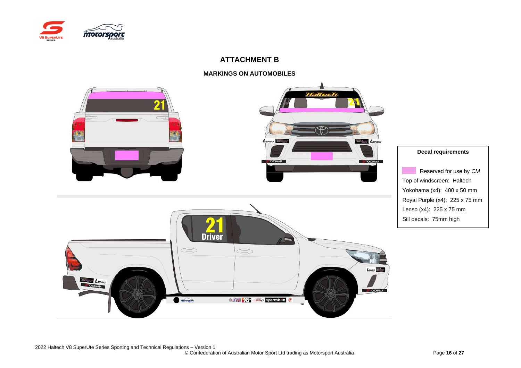

### **ATTACHMENT B**

### **MARKINGS ON AUTOMOBILES**

<span id="page-15-1"></span><span id="page-15-0"></span>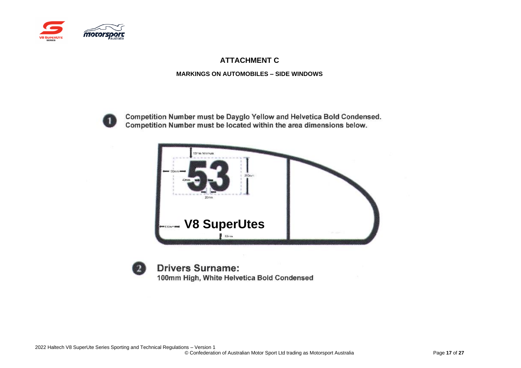

### **ATTACHMENT C**

### **MARKINGS ON AUTOMOBILES – SIDE WINDOWS**



Competition Number must be Dayglo Yellow and Helvetica Bold Condensed. Competition Number must be located within the area dimensions below.



<span id="page-16-1"></span><span id="page-16-0"></span>

**Drivers Surname:** 100mm High, White Helvetica Bold Condensed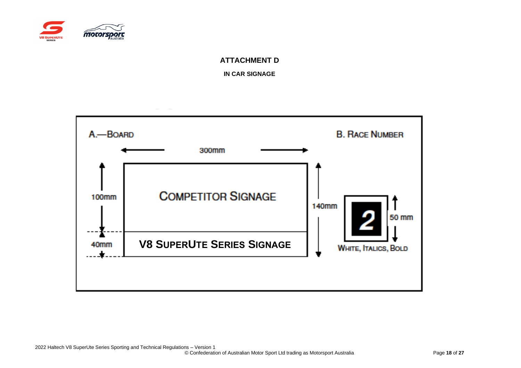

### **ATTACHMENT D**

**IN CAR SIGNAGE**

<span id="page-17-1"></span><span id="page-17-0"></span>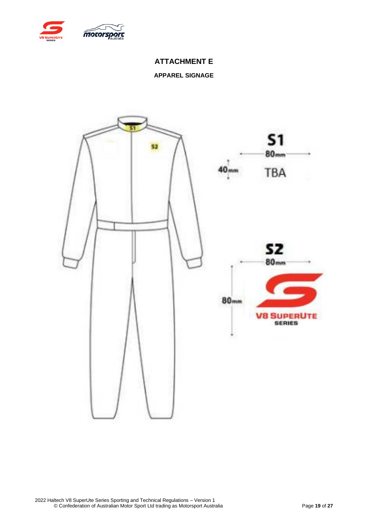<span id="page-18-0"></span>

### **ATTACHMENT E**

### **APPAREL SIGNAGE**

<span id="page-18-1"></span>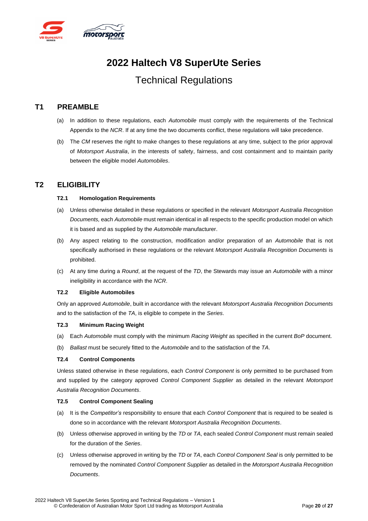

# **2022 Haltech V8 SuperUte Series**

# Technical Regulations

### <span id="page-19-0"></span>**T1 PREAMBLE**

- (a) In addition to these regulations, each *Automobile* must comply with the requirements of the Technical Appendix to the *NCR*. If at any time the two documents conflict, these regulations will take precedence.
- (b) The *CM* reserves the right to make changes to these regulations at any time, subject to the prior approval of *Motorsport Australia*, in the interests of safety, fairness, and cost containment and to maintain parity between the eligible model *Automobiles*.

### <span id="page-19-2"></span><span id="page-19-1"></span>**T2 ELIGIBILITY**

### **T2.1 Homologation Requirements**

- (a) Unless otherwise detailed in these regulations or specified in the relevant *Motorsport Australia Recognition Documents,* each *Automobile* must remain identical in all respects to the specific production model on which it is based and as supplied by the *Automobile* manufacturer.
- (b) Any aspect relating to the construction, modification and/or preparation of an *Automobile* that is not specifically authorised in these regulations or the relevant *Motorsport Australia Recognition Documents* is prohibited.
- (c) At any time during a *Round*, at the request of the *TD*, the Stewards may issue an *Automobile* with a minor ineligibility in accordance with the *NCR*.

### <span id="page-19-3"></span>**T2.2 Eligible Automobiles**

Only an approved *Automobile*, built in accordance with the relevant *Motorsport Australia Recognition Documents* and to the satisfaction of the *TA*, is eligible to compete in the *Series*.

### <span id="page-19-4"></span>**T2.3 Minimum Racing Weight**

- (a) Each *Automobile* must comply with the minimum *Racing Weight* as specified in the current *BoP* document.
- (b) *Ballast* must be securely fitted to the *Automobile* and to the satisfaction of the *TA*.

### <span id="page-19-5"></span>**T2.4 Control Components**

Unless stated otherwise in these regulations, each *Control Component* is only permitted to be purchased from and supplied by the category approved *Control Component Supplier* as detailed in the relevant *Motorsport Australia Recognition Documents*.

### <span id="page-19-6"></span>**T2.5 Control Component Sealing**

- (a) It is the *Competitor's* responsibility to ensure that each *Control Component* that is required to be sealed is done so in accordance with the relevant *Motorsport Australia Recognition Documents*.
- (b) Unless otherwise approved in writing by the *TD* or *TA*, each sealed *Control Component* must remain sealed for the duration of the *Series*.
- (c) Unless otherwise approved in writing by the *TD* or *TA*, each *Control Component Seal* is only permitted to be removed by the nominated *Control Component Supplier* as detailed in the *Motorsport Australia Recognition Documents*.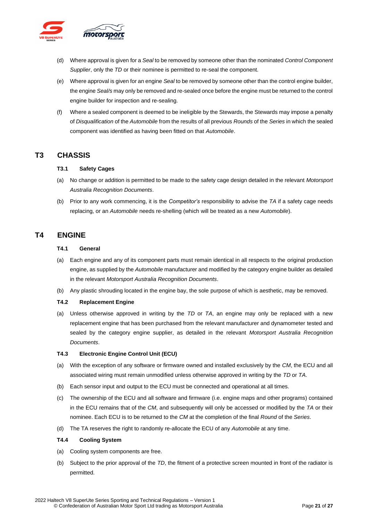

- (d) Where approval is given for a *Seal* to be removed by someone other than the nominated *Control Component Supplier*, only the *TD* or their nominee is permitted to re-seal the component.
- (e) Where approval is given for an engine *Seal* to be removed by someone other than the control engine builder, the engine *Seal/s* may only be removed and re-sealed once before the engine must be returned to the control engine builder for inspection and re-sealing.
- (f) Where a sealed component is deemed to be ineligible by the Stewards, the Stewards may impose a penalty of *Disqualification* of the *Automobile* from the results of all previous *Rounds* of the *Series* in which the sealed component was identified as having been fitted on that *Automobile*.

### <span id="page-20-1"></span><span id="page-20-0"></span>**T3 CHASSIS**

### **T3.1 Safety Cages**

- (a) No change or addition is permitted to be made to the safety cage design detailed in the relevant *Motorsport Australia Recognition Documents*.
- (b) Prior to any work commencing, it is the *Competitor's* responsibility to advise the *TA* if a safety cage needs replacing, or an *Automobile* needs re-shelling (which will be treated as a new *Automobile*).

### <span id="page-20-3"></span><span id="page-20-2"></span>**T4 ENGINE**

### **T4.1 General**

- (a) Each engine and any of its component parts must remain identical in all respects to the original production engine, as supplied by the *Automobile* manufacturer and modified by the category engine builder as detailed in the relevant *Motorsport Australia Recognition Documents*.
- (b) Any plastic shrouding located in the engine bay, the sole purpose of which is aesthetic, may be removed.

### <span id="page-20-4"></span>**T4.2 Replacement Engine**

(a) Unless otherwise approved in writing by the *TD* or *TA*, an engine may only be replaced with a new replacement engine that has been purchased from the relevant manufacturer and dynamometer tested and sealed by the category engine supplier, as detailed in the relevant *Motorsport Australia Recognition Documents*.

### <span id="page-20-5"></span>**T4.3 Electronic Engine Control Unit (ECU)**

- (a) With the exception of any software or firmware owned and installed exclusively by the *CM*, the ECU and all associated wiring must remain unmodified unless otherwise approved in writing by the *TD* or *TA*.
- (b) Each sensor input and output to the ECU must be connected and operational at all times.
- (c) The ownership of the ECU and all software and firmware (i.e. engine maps and other programs) contained in the ECU remains that of the *CM*, and subsequently will only be accessed or modified by the *TA* or their nominee. Each ECU is to be returned to the *CM* at the completion of the final *Round* of the *Series*.
- (d) The TA reserves the right to randomly re-allocate the ECU of any *Automobile* at any time.

### <span id="page-20-6"></span>**T4.4 Cooling System**

- (a) Cooling system components are free.
- (b) Subject to the prior approval of the *TD*, the fitment of a protective screen mounted in front of the radiator is permitted.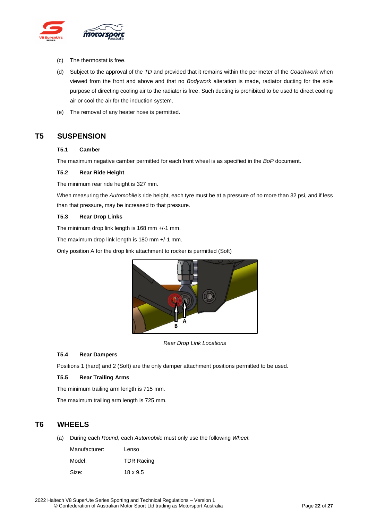

- (c) The thermostat is free.
- (d) Subject to the approval of the *TD* and provided that it remains within the perimeter of the *Coachwork* when viewed from the front and above and that no *Bodywork* alteration is made, radiator ducting for the sole purpose of directing cooling air to the radiator is free. Such ducting is prohibited to be used to direct cooling air or cool the air for the induction system.
- (e) The removal of any heater hose is permitted.

### <span id="page-21-1"></span><span id="page-21-0"></span>**T5 SUSPENSION**

### **T5.1 Camber**

The maximum negative camber permitted for each front wheel is as specified in the *BoP* document.

#### <span id="page-21-2"></span>**T5.2 Rear Ride Height**

The minimum rear ride height is 327 mm.

When measuring the *Automobile's* ride height, each tyre must be at a pressure of no more than 32 psi, and if less than that pressure, may be increased to that pressure.

#### <span id="page-21-3"></span>**T5.3 Rear Drop Links**

The minimum drop link length is 168 mm +/-1 mm.

The maximum drop link length is 180 mm +/-1 mm.

Only position A for the drop link attachment to rocker is permitted (Soft)



*Rear Drop Link Locations*

### <span id="page-21-4"></span>**T5.4 Rear Dampers**

Positions 1 (hard) and 2 (Soft) are the only damper attachment positions permitted to be used.

### <span id="page-21-5"></span>**T5.5 Rear Trailing Arms**

The minimum trailing arm length is 715 mm.

The maximum trailing arm length is 725 mm.

### <span id="page-21-6"></span>**T6 WHEELS**

(a) During each *Round*, each *Automobile* must only use the following *Wheel*:

| Manufacturer: | Lenso             |
|---------------|-------------------|
| Model:        | <b>TDR Racing</b> |
| Size:         | 18 x 9.5          |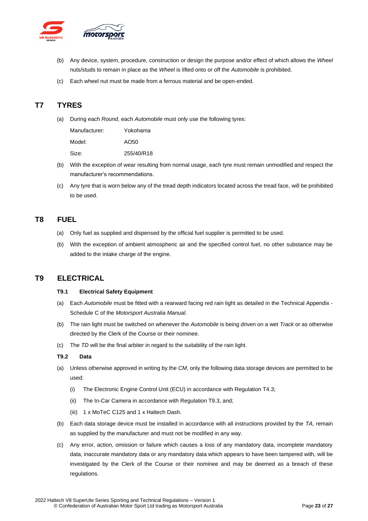

- (b) Any device, system, procedure, construction or design the purpose and/or effect of which allows the *Wheel* nuts/studs to remain in place as the *Wheel* is lifted onto or off the *Automobile* is prohibited.
- (c) Each wheel nut must be made from a ferrous material and be open-ended.

### <span id="page-22-0"></span>**T7 TYRES**

(a) During each *Round*, each *Automobile* must only use the following tyres:

| Manufacturer: | Yokohama   |
|---------------|------------|
| Model:        | AO50       |
| Size:         | 255/40/R18 |

- (b) With the exception of wear resulting from normal usage, each tyre must remain unmodified and respect the manufacturer's recommendations.
- (c) Any tyre that is worn below any of the tread depth indicators located across the tread face, will be prohibited to be used.

### <span id="page-22-1"></span>**T8 FUEL**

- (a) Only fuel as supplied and dispensed by the official fuel supplier is permitted to be used.
- (b) With the exception of ambient atmospheric air and the specified control fuel, no other substance may be added to the intake charge of the engine.

### <span id="page-22-3"></span><span id="page-22-2"></span>**T9 ELECTRICAL**

#### **T9.1 Electrical Safety Equipment**

- (a) Each *Automobile* must be fitted with a rearward facing red rain light as detailed in the Technical Appendix Schedule C of the *Motorsport Australia Manual*.
- (b) The rain light must be switched on whenever the *Automobile* is being driven on a wet *Track* or as otherwise directed by the Clerk of the Course or their nominee.
- (c) The *TD* will be the final arbiter in regard to the suitability of the rain light.

### <span id="page-22-4"></span>**T9.2 Data**

- (a) Unless otherwise approved in writing by the *CM*, only the following data storage devices are permitted to be used:
	- (i) The Electronic Engine Control Unit (ECU) in accordance with Regulation T4.3;
	- (ii) The In-Car Camera in accordance with Regulation T9.3, and;
	- (iii) 1 x MoTeC C125 and 1 x Haltech Dash.
- (b) Each data storage device must be installed in accordance with all instructions provided by the *TA*, remain as supplied by the manufacturer and must not be modified in any way.
- (c) Any error, action, omission or failure which causes a loss of any mandatory data, incomplete mandatory data, inaccurate mandatory data or any mandatory data which appears to have been tampered with, will be investigated by the Clerk of the Course or their nominee and may be deemed as a breach of these regulations.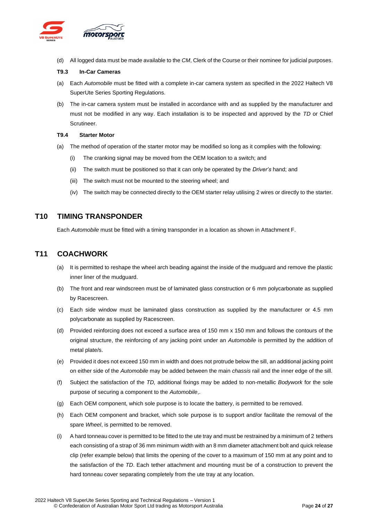

(d) All logged data must be made available to the *CM*, Clerk of the Course or their nominee for judicial purposes.

#### <span id="page-23-0"></span>**T9.3 In-Car Cameras**

- (a) Each *Automobile* must be fitted with a complete in-car camera system as specified in the 2022 Haltech V8 SuperUte Series Sporting Regulations.
- (b) The in-car camera system must be installed in accordance with and as supplied by the manufacturer and must not be modified in any way. Each installation is to be inspected and approved by the *TD* or Chief Scrutineer.

#### <span id="page-23-1"></span>**T9.4 Starter Motor**

- (a) The method of operation of the starter motor may be modified so long as it complies with the following:
	- (i) The cranking signal may be moved from the OEM location to a switch; and
	- (ii) The switch must be positioned so that it can only be operated by the *Driver's* hand; and
	- (iii) The switch must not be mounted to the steering wheel; and
	- (iv) The switch may be connected directly to the OEM starter relay utilising 2 wires or directly to the starter.

### <span id="page-23-2"></span>**T10 TIMING TRANSPONDER**

Each *Automobile* must be fitted with a timing transponder in a location as shown in Attachment F.

### <span id="page-23-3"></span>**T11 COACHWORK**

- (a) It is permitted to reshape the wheel arch beading against the inside of the mudguard and remove the plastic inner liner of the mudguard.
- (b) The front and rear windscreen must be of laminated glass construction or 6 mm polycarbonate as supplied by Racescreen.
- (c) Each side window must be laminated glass construction as supplied by the manufacturer or 4.5 mm polycarbonate as supplied by Racescreen.
- (d) Provided reinforcing does not exceed a surface area of 150 mm x 150 mm and follows the contours of the original structure, the reinforcing of any jacking point under an *Automobile* is permitted by the addition of metal plate/s.
- (e) Provided it does not exceed 150 mm in width and does not protrude below the sill, an additional jacking point on either side of the *Automobile* may be added between the main *chassis* rail and the inner edge of the sill.
- (f) Subject the satisfaction of the *TD,* additional fixings may be added to non-metallic *Bodywork* for the sole purpose of securing a component to the *Automobile*,.
- (g) Each OEM component, which sole purpose is to locate the battery, is permitted to be removed.
- (h) Each OEM component and bracket, which sole purpose is to support and/or facilitate the removal of the spare *Wheel*, is permitted to be removed.
- (i) A hard tonneau cover is permitted to be fitted to the ute tray and must be restrained by a minimum of 2 tethers each consisting of a strap of 36 mm minimum width with an 8 mm diameter attachment bolt and quick release clip (refer example below) that limits the opening of the cover to a maximum of 150 mm at any point and to the satisfaction of the *TD*. Each tether attachment and mounting must be of a construction to prevent the hard tonneau cover separating completely from the ute tray at any location.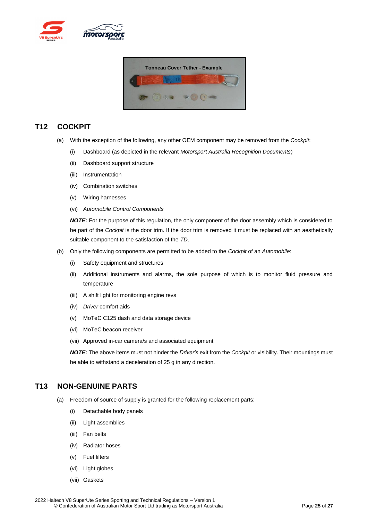



### <span id="page-24-0"></span>**T12 COCKPIT**

- (a) With the exception of the following, any other OEM component may be removed from the *Cockpit*:
	- (i) Dashboard (as depicted in the relevant *Motorsport Australia Recognition Documents*)
	- (ii) Dashboard support structure
	- (iii) Instrumentation
	- (iv) Combination switches
	- (v) Wiring harnesses
	- (vi) *Automobile Control Components*

*NOTE:* For the purpose of this regulation, the only component of the door assembly which is considered to be part of the *Cockpit* is the door trim. If the door trim is removed it must be replaced with an aesthetically suitable component to the satisfaction of the *TD*.

- (b) Only the following components are permitted to be added to the *Cockpit* of an *Automobile*:
	- (i) Safety equipment and structures
	- (ii) Additional instruments and alarms, the sole purpose of which is to monitor fluid pressure and temperature
	- (iii) A shift light for monitoring engine revs
	- (iv) *Driver* comfort aids
	- (v) MoTeC C125 dash and data storage device
	- (vi) MoTeC beacon receiver
	- (vii) Approved in-car camera/s and associated equipment

*NOTE:* The above items must not hinder the *Driver's* exit from the *Cockpit* or visibility. Their mountings must be able to withstand a deceleration of 25 g in any direction.

### <span id="page-24-1"></span>**T13 NON-GENUINE PARTS**

- (a) Freedom of source of supply is granted for the following replacement parts:
	- (i) Detachable body panels
	- (ii) Light assemblies
	- (iii) Fan belts
	- (iv) Radiator hoses
	- (v) Fuel filters
	- (vi) Light globes
	- (vii) Gaskets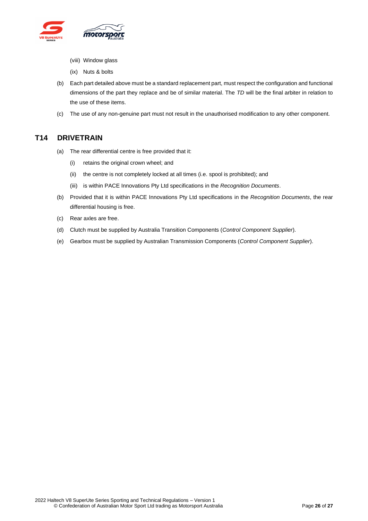

- (viii) Window glass
- (ix) Nuts & bolts
- (b) Each part detailed above must be a standard replacement part, must respect the configuration and functional dimensions of the part they replace and be of similar material. The *TD* will be the final arbiter in relation to the use of these items.
- (c) The use of any non-genuine part must not result in the unauthorised modification to any other component.

### <span id="page-25-0"></span>**T14 DRIVETRAIN**

- (a) The rear differential centre is free provided that it:
	- (i) retains the original crown wheel; and
	- (ii) the centre is not completely locked at all times (i.e. spool is prohibited); and
	- (iii) is within PACE Innovations Pty Ltd specifications in the *Recognition Documents*.
- (b) Provided that it is within PACE Innovations Pty Ltd specifications in the *Recognition Documents*, the rear differential housing is free.
- (c) Rear axles are free.
- (d) Clutch must be supplied by Australia Transition Components (*Control Component Supplier*).
- (e) Gearbox must be supplied by Australian Transmission Components (*Control Component Supplier*).